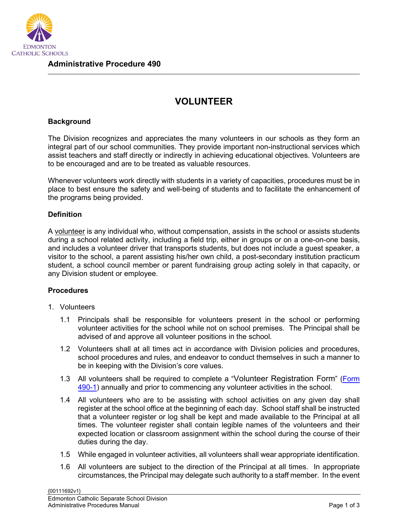

## **VOLUNTEER**

## **Background**

The Division recognizes and appreciates the many volunteers in our schools as they form an integral part of our school communities. They provide important non-instructional services which assist teachers and staff directly or indirectly in achieving educational objectives. Volunteers are to be encouraged and are to be treated as valuable resources.

Whenever volunteers work directly with students in a variety of capacities, procedures must be in place to best ensure the safety and well-being of students and to facilitate the enhancement of the programs being provided.

## **Definition**

A volunteer is any individual who, without compensation, assists in the school or assists students during a school related activity, including a field trip, either in groups or on a one-on-one basis, and includes a volunteer driver that transports students, but does not include a guest speaker, a visitor to the school, a parent assisting his/her own child, a post-secondary institution practicum student, a school council member or parent fundraising group acting solely in that capacity, or any Division student or employee.

## **Procedures**

- 1. Volunteers
	- 1.1 Principals shall be responsible for volunteers present in the school or performing volunteer activities for the school while not on school premises. The Principal shall be advised of and approve all volunteer positions in the school.
	- 1.2 Volunteers shall at all times act in accordance with Division policies and procedures, school procedures and rules, and endeavor to conduct themselves in such a manner to be in keeping with the Division's core values.
	- 1.3 All volunteers shall be required to complete a "Volunteer Registration Form" [\(Form](https://edmontoncatholicschools.sharepoint.com/sites/D0100/Forms/Forms/AllItems.aspx?id=%2Fsites%2FD0100%2FForms%2FAP%20490%20%26%20491%20Form%20490%2D1%20Volunteer%20Registration%20Form%2Epdf&parent=%2Fsites%2FD0100%2FForms)  [490-1\)](https://edmontoncatholicschools.sharepoint.com/sites/D0100/Forms/Forms/AllItems.aspx?id=%2Fsites%2FD0100%2FForms%2FAP%20490%20%26%20491%20Form%20490%2D1%20Volunteer%20Registration%20Form%2Epdf&parent=%2Fsites%2FD0100%2FForms) annually and prior to commencing any volunteer activities in the school.
	- 1.4 All volunteers who are to be assisting with school activities on any given day shall register at the school office at the beginning of each day. School staff shall be instructed that a volunteer register or log shall be kept and made available to the Principal at all times. The volunteer register shall contain legible names of the volunteers and their expected location or classroom assignment within the school during the course of their duties during the day.
	- 1.5 While engaged in volunteer activities, all volunteers shall wear appropriate identification.
	- 1.6 All volunteers are subject to the direction of the Principal at all times. In appropriate circumstances, the Principal may delegate such authority to a staff member. In the event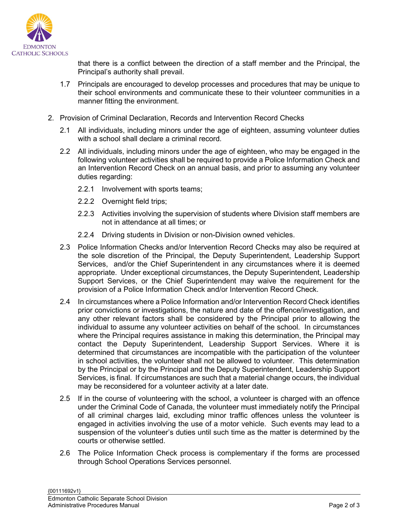

that there is a conflict between the direction of a staff member and the Principal, the Principal's authority shall prevail.

- 1.7 Principals are encouraged to develop processes and procedures that may be unique to their school environments and communicate these to their volunteer communities in a manner fitting the environment.
- 2. Provision of Criminal Declaration, Records and Intervention Record Checks
	- 2.1 All individuals, including minors under the age of eighteen, assuming volunteer duties with a school shall declare a criminal record.
	- 2.2 All individuals, including minors under the age of eighteen, who may be engaged in the following volunteer activities shall be required to provide a Police Information Check and an Intervention Record Check on an annual basis, and prior to assuming any volunteer duties regarding:
		- 2.2.1 Involvement with sports teams;
		- 2.2.2 Overnight field trips;
		- 2.2.3 Activities involving the supervision of students where Division staff members are not in attendance at all times; or
		- 2.2.4 Driving students in Division or non-Division owned vehicles.
	- 2.3 Police Information Checks and/or Intervention Record Checks may also be required at the sole discretion of the Principal, the Deputy Superintendent, Leadership Support Services, and/or the Chief Superintendent in any circumstances where it is deemed appropriate. Under exceptional circumstances, the Deputy Superintendent, Leadership Support Services, or the Chief Superintendent may waive the requirement for the provision of a Police Information Check and/or Intervention Record Check.
	- 2.4 In circumstances where a Police Information and/or Intervention Record Check identifies prior convictions or investigations, the nature and date of the offence/investigation, and any other relevant factors shall be considered by the Principal prior to allowing the individual to assume any volunteer activities on behalf of the school. In circumstances where the Principal requires assistance in making this determination, the Principal may contact the Deputy Superintendent, Leadership Support Services. Where it is determined that circumstances are incompatible with the participation of the volunteer in school activities, the volunteer shall not be allowed to volunteer. This determination by the Principal or by the Principal and the Deputy Superintendent, Leadership Support Services, is final. If circumstances are such that a material change occurs, the individual may be reconsidered for a volunteer activity at a later date.
	- 2.5 If in the course of volunteering with the school, a volunteer is charged with an offence under the Criminal Code of Canada, the volunteer must immediately notify the Principal of all criminal charges laid, excluding minor traffic offences unless the volunteer is engaged in activities involving the use of a motor vehicle. Such events may lead to a suspension of the volunteer's duties until such time as the matter is determined by the courts or otherwise settled.
	- 2.6 The Police Information Check process is complementary if the forms are processed through School Operations Services personnel.